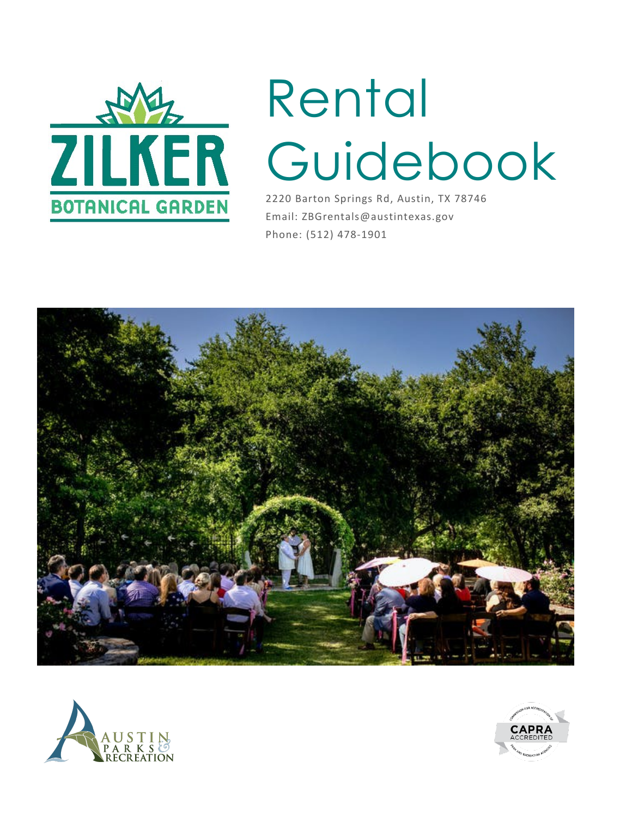

# Rental Guidebook

2220 Barton Springs Rd, Austin, TX 78746 Email: ZBGrentals@austintexas.gov Phone: (512) 478-1901





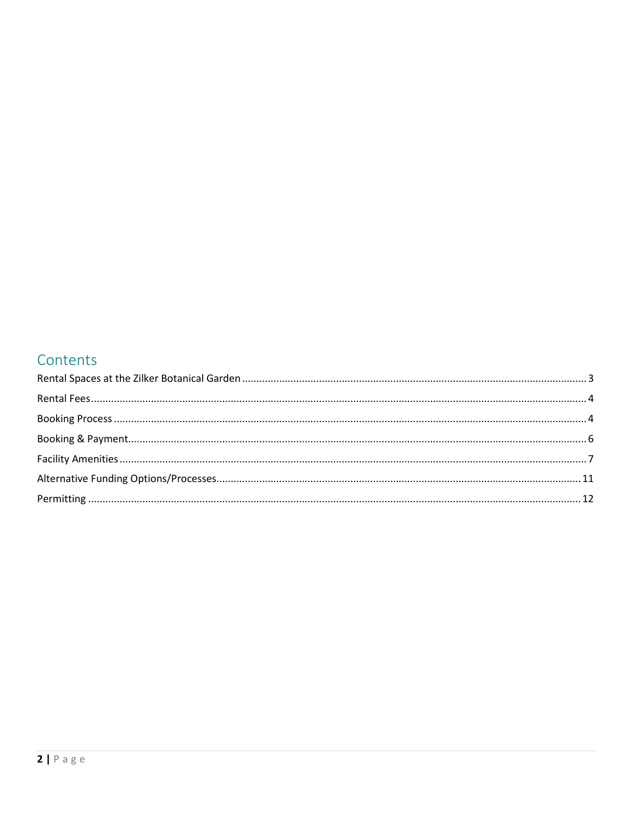## Contents

<span id="page-1-0"></span>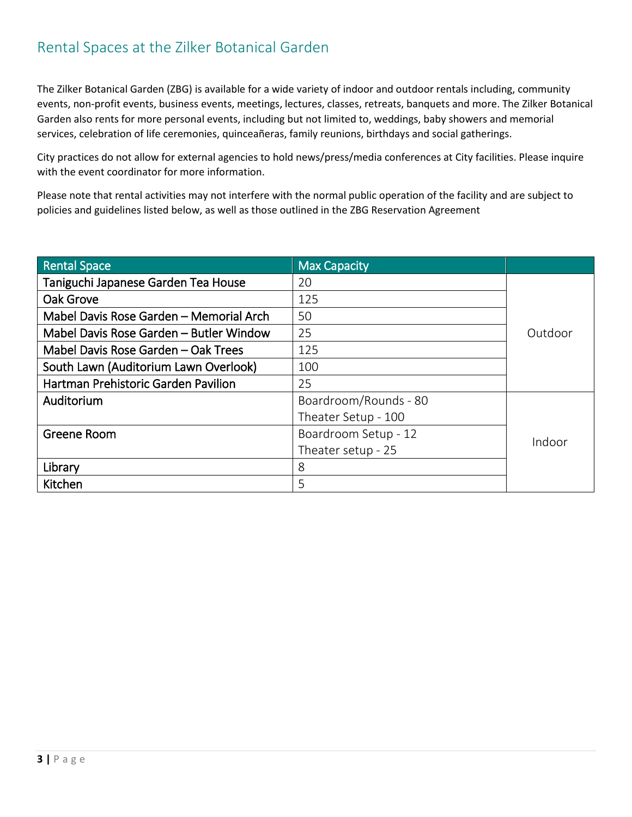# Rental Spaces at the Zilker Botanical Garden

The Zilker Botanical Garden (ZBG) is available for a wide variety of indoor and outdoor rentals including, community events, non-profit events, business events, meetings, lectures, classes, retreats, banquets and more. The Zilker Botanical Garden also rents for more personal events, including but not limited to, weddings, baby showers and memorial services, celebration of life ceremonies, quinceañeras, family reunions, birthdays and social gatherings.

City practices do not allow for external agencies to hold news/press/media conferences at City facilities. Please inquire with the event coordinator for more information.

Please note that rental activities may not interfere with the normal public operation of the facility and are subject to policies and guidelines listed below, as well as those outlined in the ZBG Reservation Agreement

| <b>Rental Space</b>                     | <b>Max Capacity</b>   |         |  |
|-----------------------------------------|-----------------------|---------|--|
| Taniguchi Japanese Garden Tea House     | 20                    |         |  |
| Oak Grove                               | 125                   |         |  |
| Mabel Davis Rose Garden - Memorial Arch | 50                    |         |  |
| Mabel Davis Rose Garden - Butler Window | 25                    | Outdoor |  |
| Mabel Davis Rose Garden - Oak Trees     | 125                   |         |  |
| South Lawn (Auditorium Lawn Overlook)   | 100                   |         |  |
| Hartman Prehistoric Garden Pavilion     | 25                    |         |  |
| Auditorium                              | Boardroom/Rounds - 80 |         |  |
|                                         | Theater Setup - 100   |         |  |
| Greene Room                             | Boardroom Setup - 12  | Indoor  |  |
|                                         | Theater setup - 25    |         |  |
| Library                                 | 8                     |         |  |
| Kitchen                                 | 5                     |         |  |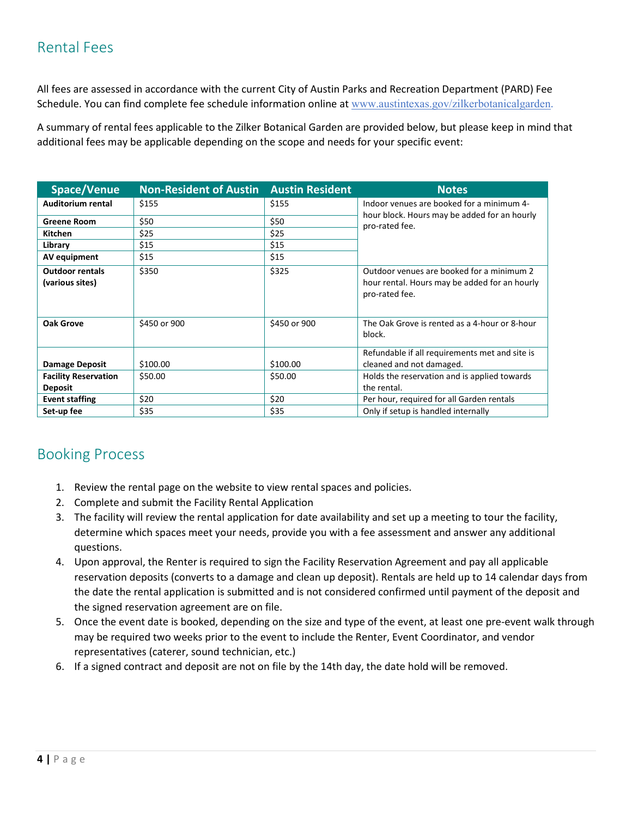# <span id="page-3-0"></span>Rental Fees

All fees are assessed in accordance with the current City of Austin Parks and Recreation Department (PARD) Fee Schedule. You can find complete fee schedule information online at [www.austintexas.gov/zilkerbotanicalgarden](http://www.austintexas.gov/zilkerbotanicalgarden).

A summary of rental fees applicable to the Zilker Botanical Garden are provided below, but please keep in mind that additional fees may be applicable depending on the scope and needs for your specific event:

| Space/Venue                               | Non-Resident of Austin Austin Resident |              | <b>Notes</b>                                                                                                 |  |
|-------------------------------------------|----------------------------------------|--------------|--------------------------------------------------------------------------------------------------------------|--|
| Auditorium rental                         | \$155                                  | \$155        | Indoor venues are booked for a minimum 4-                                                                    |  |
| <b>Greene Room</b>                        | \$50                                   | \$50         | hour block. Hours may be added for an hourly<br>pro-rated fee.                                               |  |
| <b>Kitchen</b>                            | \$25                                   | \$25         |                                                                                                              |  |
| Library                                   | \$15                                   | \$15         |                                                                                                              |  |
| AV equipment                              | \$15                                   | \$15         |                                                                                                              |  |
| <b>Outdoor rentals</b><br>(various sites) | \$350                                  | \$325        | Outdoor venues are booked for a minimum 2<br>hour rental. Hours may be added for an hourly<br>pro-rated fee. |  |
| <b>Oak Grove</b>                          | \$450 or 900                           | \$450 or 900 | The Oak Grove is rented as a 4-hour or 8-hour<br>block.                                                      |  |
|                                           |                                        |              | Refundable if all requirements met and site is                                                               |  |
| <b>Damage Deposit</b>                     | \$100.00                               | \$100.00     | cleaned and not damaged.                                                                                     |  |
| <b>Facility Reservation</b>               | \$50.00                                | \$50.00      | Holds the reservation and is applied towards                                                                 |  |
| <b>Deposit</b>                            |                                        |              | the rental.                                                                                                  |  |
| <b>Event staffing</b>                     | \$20                                   | \$20         | Per hour, required for all Garden rentals                                                                    |  |
| Set-up fee                                | \$35                                   | \$35         | Only if setup is handled internally                                                                          |  |

### <span id="page-3-1"></span>Booking Process

- 1. Review the rental page on the website to view rental spaces and policies.
- 2. Complete and submit the Facility Rental Application
- 3. The facility will review the rental application for date availability and set up a meeting to tour the facility, determine which spaces meet your needs, provide you with a fee assessment and answer any additional questions.
- 4. Upon approval, the Renter is required to sign the Facility Reservation Agreement and pay all applicable reservation deposits (converts to a damage and clean up deposit). Rentals are held up to 14 calendar days from the date the rental application is submitted and is not considered confirmed until payment of the deposit and the signed reservation agreement are on file.
- 5. Once the event date is booked, depending on the size and type of the event, at least one pre-event walk through may be required two weeks prior to the event to include the Renter, Event Coordinator, and vendor representatives (caterer, sound technician, etc.)
- 6. If a signed contract and deposit are not on file by the 14th day, the date hold will be removed.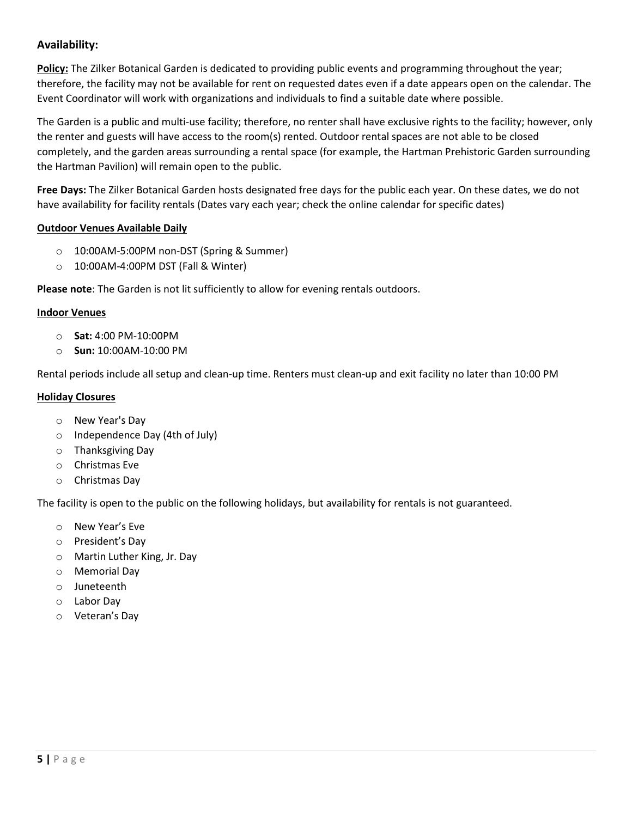#### **Availability:**

**Policy:** The Zilker Botanical Garden is dedicated to providing public events and programming throughout the year; therefore, the facility may not be available for rent on requested dates even if a date appears open on the calendar. The Event Coordinator will work with organizations and individuals to find a suitable date where possible.

The Garden is a public and multi-use facility; therefore, no renter shall have exclusive rights to the facility; however, only the renter and guests will have access to the room(s) rented. Outdoor rental spaces are not able to be closed completely, and the garden areas surrounding a rental space (for example, the Hartman Prehistoric Garden surrounding the Hartman Pavilion) will remain open to the public.

**Free Days:** The Zilker Botanical Garden hosts designated free days for the public each year. On these dates, we do not have availability for facility rentals (Dates vary each year; check the online calendar for specific dates)

#### **Outdoor Venues Available Daily**

- o 10:00AM-5:00PM non-DST (Spring & Summer)
- o 10:00AM-4:00PM DST (Fall & Winter)

**Please note**: The Garden is not lit sufficiently to allow for evening rentals outdoors.

#### **Indoor Venues**

- o **Sat:** 4:00 PM-10:00PM
- o **Sun:** 10:00AM-10:00 PM

Rental periods include all setup and clean-up time. Renters must clean-up and exit facility no later than 10:00 PM

#### **Holiday Closures**

- o New Year's Day
- o Independence Day (4th of July)
- o Thanksgiving Day
- o Christmas Eve
- o Christmas Day

The facility is open to the public on the following holidays, but availability for rentals is not guaranteed.

- o New Year's Eve
- o President's Day
- o Martin Luther King, Jr. Day
- o Memorial Day
- o Juneteenth
- o Labor Day
- <span id="page-4-0"></span>o Veteran's Day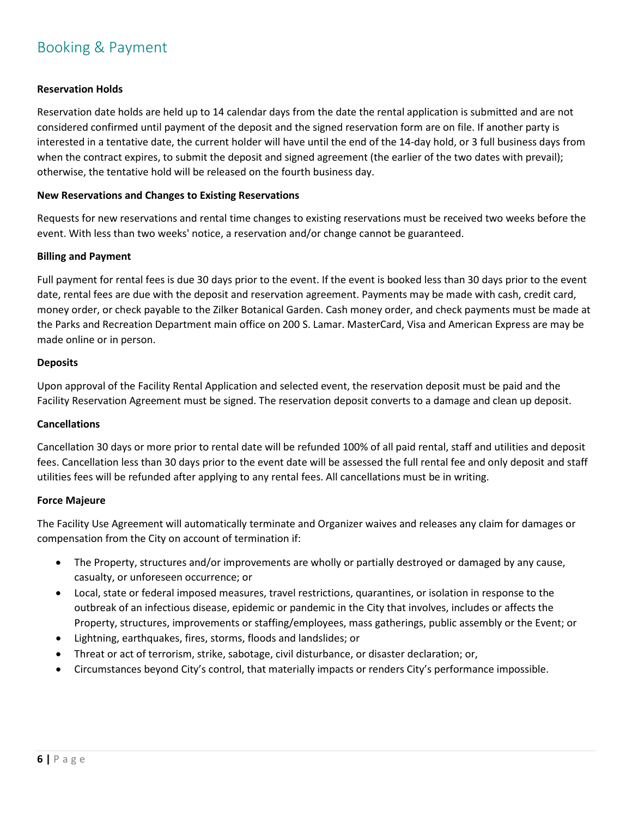# Booking & Payment

#### **Reservation Holds**

Reservation date holds are held up to 14 calendar days from the date the rental application is submitted and are not considered confirmed until payment of the deposit and the signed reservation form are on file. If another party is interested in a tentative date, the current holder will have until the end of the 14-day hold, or 3 full business days from when the contract expires, to submit the deposit and signed agreement (the earlier of the two dates with prevail); otherwise, the tentative hold will be released on the fourth business day.

#### **New Reservations and Changes to Existing Reservations**

Requests for new reservations and rental time changes to existing reservations must be received two weeks before the event. With less than two weeks' notice, a reservation and/or change cannot be guaranteed.

#### **Billing and Payment**

Full payment for rental fees is due 30 days prior to the event. If the event is booked less than 30 days prior to the event date, rental fees are due with the deposit and reservation agreement. Payments may be made with cash, credit card, money order, or check payable to the Zilker Botanical Garden. Cash money order, and check payments must be made at the Parks and Recreation Department main office on 200 S. Lamar. MasterCard, Visa and American Express are may be made online or in person.

#### **Deposits**

Upon approval of the Facility Rental Application and selected event, the reservation deposit must be paid and the Facility Reservation Agreement must be signed. The reservation deposit converts to a damage and clean up deposit.

#### **Cancellations**

Cancellation 30 days or more prior to rental date will be refunded 100% of all paid rental, staff and utilities and deposit fees. Cancellation less than 30 days prior to the event date will be assessed the full rental fee and only deposit and staff utilities fees will be refunded after applying to any rental fees. All cancellations must be in writing.

#### **Force Majeure**

The Facility Use Agreement will automatically terminate and Organizer waives and releases any claim for damages or compensation from the City on account of termination if:

- The Property, structures and/or improvements are wholly or partially destroyed or damaged by any cause, casualty, or unforeseen occurrence; or
- Local, state or federal imposed measures, travel restrictions, quarantines, or isolation in response to the outbreak of an infectious disease, epidemic or pandemic in the City that involves, includes or affects the Property, structures, improvements or staffing/employees, mass gatherings, public assembly or the Event; or
- Lightning, earthquakes, fires, storms, floods and landslides; or
- Threat or act of terrorism, strike, sabotage, civil disturbance, or disaster declaration; or,
- Circumstances beyond City's control, that materially impacts or renders City's performance impossible.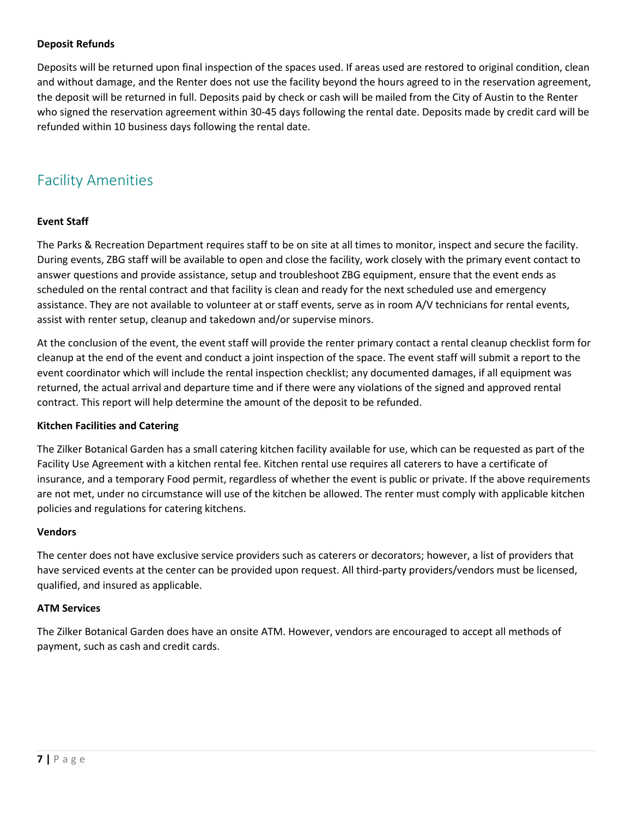#### **Deposit Refunds**

Deposits will be returned upon final inspection of the spaces used. If areas used are restored to original condition, clean and without damage, and the Renter does not use the facility beyond the hours agreed to in the reservation agreement, the deposit will be returned in full. Deposits paid by check or cash will be mailed from the City of Austin to the Renter who signed the reservation agreement within 30-45 days following the rental date. Deposits made by credit card will be refunded within 10 business days following the rental date.

## <span id="page-6-0"></span>Facility Amenities

#### **Event Staff**

The Parks & Recreation Department requires staff to be on site at all times to monitor, inspect and secure the facility. During events, ZBG staff will be available to open and close the facility, work closely with the primary event contact to answer questions and provide assistance, setup and troubleshoot ZBG equipment, ensure that the event ends as scheduled on the rental contract and that facility is clean and ready for the next scheduled use and emergency assistance. They are not available to volunteer at or staff events, serve as in room A/V technicians for rental events, assist with renter setup, cleanup and takedown and/or supervise minors.

At the conclusion of the event, the event staff will provide the renter primary contact a rental cleanup checklist form for cleanup at the end of the event and conduct a joint inspection of the space. The event staff will submit a report to the event coordinator which will include the rental inspection checklist; any documented damages, if all equipment was returned, the actual arrival and departure time and if there were any violations of the signed and approved rental contract. This report will help determine the amount of the deposit to be refunded.

#### **Kitchen Facilities and Catering**

The Zilker Botanical Garden has a small catering kitchen facility available for use, which can be requested as part of the Facility Use Agreement with a kitchen rental fee. Kitchen rental use requires all caterers to have a certificate of insurance, and a temporary Food permit, regardless of whether the event is public or private. If the above requirements are not met, under no circumstance will use of the kitchen be allowed. The renter must comply with applicable kitchen policies and regulations for catering kitchens.

#### **Vendors**

The center does not have exclusive service providers such as caterers or decorators; however, a list of providers that have serviced events at the center can be provided upon request. All third-party providers/vendors must be licensed, qualified, and insured as applicable.

#### **ATM Services**

The Zilker Botanical Garden does have an onsite ATM. However, vendors are encouraged to accept all methods of payment, such as cash and credit cards.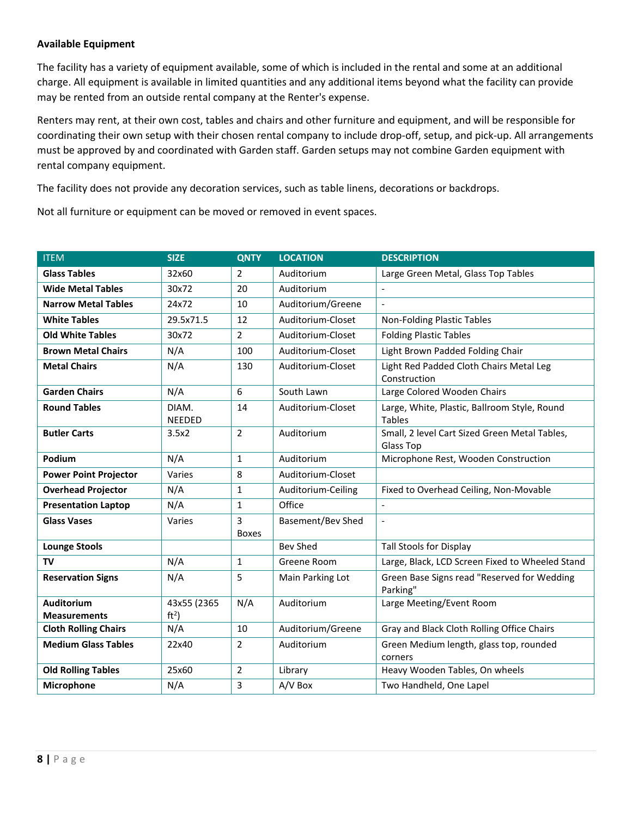#### **Available Equipment**

The facility has a variety of equipment available, some of which is included in the rental and some at an additional charge. All equipment is available in limited quantities and any additional items beyond what the facility can provide may be rented from an outside rental company at the Renter's expense.

Renters may rent, at their own cost, tables and chairs and other furniture and equipment, and will be responsible for coordinating their own setup with their chosen rental company to include drop-off, setup, and pick-up. All arrangements must be approved by and coordinated with Garden staff. Garden setups may not combine Garden equipment with rental company equipment.

The facility does not provide any decoration services, such as table linens, decorations or backdrops.

Not all furniture or equipment can be moved or removed in event spaces.

| <b>ITEM</b>                              | <b>SIZE</b>                    | <b>QNTY</b>       | <b>LOCATION</b>    | <b>DESCRIPTION</b>                                            |
|------------------------------------------|--------------------------------|-------------------|--------------------|---------------------------------------------------------------|
| <b>Glass Tables</b>                      | 32x60                          | $\overline{2}$    | Auditorium         | Large Green Metal, Glass Top Tables                           |
| <b>Wide Metal Tables</b>                 | 30x72                          | 20                | Auditorium         | $\overline{a}$                                                |
| <b>Narrow Metal Tables</b>               | 24x72                          | 10                | Auditorium/Greene  |                                                               |
| <b>White Tables</b>                      | 29.5x71.5                      | 12                | Auditorium-Closet  | Non-Folding Plastic Tables                                    |
| <b>Old White Tables</b>                  | 30x72                          | $\overline{2}$    | Auditorium-Closet  | <b>Folding Plastic Tables</b>                                 |
| <b>Brown Metal Chairs</b>                | N/A                            | 100               | Auditorium-Closet  | Light Brown Padded Folding Chair                              |
| <b>Metal Chairs</b>                      | N/A                            | 130               | Auditorium-Closet  | Light Red Padded Cloth Chairs Metal Leg<br>Construction       |
| <b>Garden Chairs</b>                     | N/A                            | 6                 | South Lawn         | Large Colored Wooden Chairs                                   |
| <b>Round Tables</b>                      | DIAM.<br><b>NEEDED</b>         | 14                | Auditorium-Closet  | Large, White, Plastic, Ballroom Style, Round<br><b>Tables</b> |
| <b>Butler Carts</b>                      | 3.5x2                          | $\overline{2}$    | Auditorium         | Small, 2 level Cart Sized Green Metal Tables,<br>Glass Top    |
| Podium                                   | N/A                            | $\mathbf{1}$      | Auditorium         | Microphone Rest, Wooden Construction                          |
| <b>Power Point Projector</b>             | Varies                         | 8                 | Auditorium-Closet  |                                                               |
| <b>Overhead Projector</b>                | N/A                            | $\mathbf{1}$      | Auditorium-Ceiling | Fixed to Overhead Ceiling, Non-Movable                        |
| <b>Presentation Laptop</b>               | N/A                            | $\mathbf{1}$      | Office             |                                                               |
| <b>Glass Vases</b>                       | Varies                         | 3<br><b>Boxes</b> | Basement/Bev Shed  | $\overline{a}$                                                |
| <b>Lounge Stools</b>                     |                                |                   | <b>Bev Shed</b>    | <b>Tall Stools for Display</b>                                |
| TV                                       | N/A                            | $\mathbf{1}$      | Greene Room        | Large, Black, LCD Screen Fixed to Wheeled Stand               |
| <b>Reservation Signs</b>                 | N/A                            | 5                 | Main Parking Lot   | Green Base Signs read "Reserved for Wedding<br>Parking"       |
| <b>Auditorium</b><br><b>Measurements</b> | 43x55 (2365<br>ft <sup>2</sup> | N/A               | Auditorium         | Large Meeting/Event Room                                      |
| <b>Cloth Rolling Chairs</b>              | N/A                            | 10                | Auditorium/Greene  | Gray and Black Cloth Rolling Office Chairs                    |
| <b>Medium Glass Tables</b>               | 22x40                          | $\overline{2}$    | Auditorium         | Green Medium length, glass top, rounded<br>corners            |
| <b>Old Rolling Tables</b>                | 25x60                          | $\overline{2}$    | Library            | Heavy Wooden Tables, On wheels                                |
| Microphone                               | N/A                            | 3                 | A/V Box            | Two Handheld, One Lapel                                       |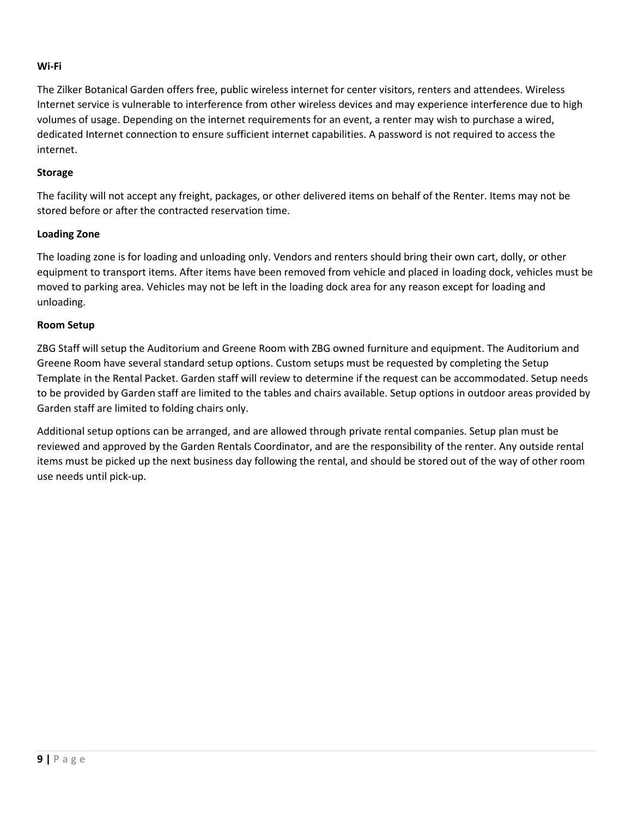#### **Wi-Fi**

The Zilker Botanical Garden offers free, public wireless internet for center visitors, renters and attendees. Wireless Internet service is vulnerable to interference from other wireless devices and may experience interference due to high volumes of usage. Depending on the internet requirements for an event, a renter may wish to purchase a wired, dedicated Internet connection to ensure sufficient internet capabilities. A password is not required to access the internet.

#### **Storage**

The facility will not accept any freight, packages, or other delivered items on behalf of the Renter. Items may not be stored before or after the contracted reservation time.

#### **Loading Zone**

The loading zone is for loading and unloading only. Vendors and renters should bring their own cart, dolly, or other equipment to transport items. After items have been removed from vehicle and placed in loading dock, vehicles must be moved to parking area. Vehicles may not be left in the loading dock area for any reason except for loading and unloading.

#### **Room Setup**

ZBG Staff will setup the Auditorium and Greene Room with ZBG owned furniture and equipment. The Auditorium and Greene Room have several standard setup options. Custom setups must be requested by completing the Setup Template in the Rental Packet. Garden staff will review to determine if the request can be accommodated. Setup needs to be provided by Garden staff are limited to the tables and chairs available. Setup options in outdoor areas provided by Garden staff are limited to folding chairs only.

Additional setup options can be arranged, and are allowed through private rental companies. Setup plan must be reviewed and approved by the Garden Rentals Coordinator, and are the responsibility of the renter. Any outside rental items must be picked up the next business day following the rental, and should be stored out of the way of other room use needs until pick-up.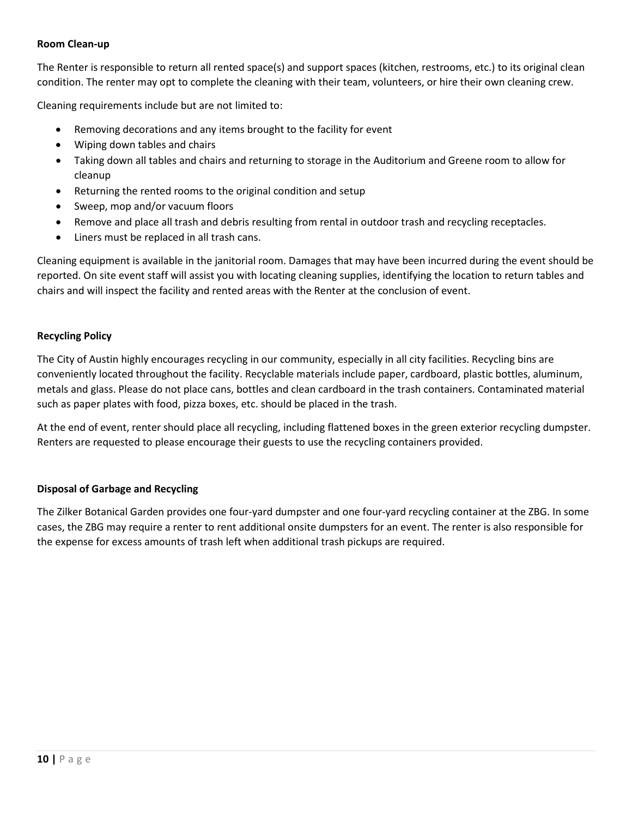#### **Room Clean-up**

The Renter is responsible to return all rented space(s) and support spaces (kitchen, restrooms, etc.) to its original clean condition. The renter may opt to complete the cleaning with their team, volunteers, or hire their own cleaning crew.

Cleaning requirements include but are not limited to:

- Removing decorations and any items brought to the facility for event
- Wiping down tables and chairs
- Taking down all tables and chairs and returning to storage in the Auditorium and Greene room to allow for cleanup
- Returning the rented rooms to the original condition and setup
- Sweep, mop and/or vacuum floors
- Remove and place all trash and debris resulting from rental in outdoor trash and recycling receptacles.
- Liners must be replaced in all trash cans.

Cleaning equipment is available in the janitorial room. Damages that may have been incurred during the event should be reported. On site event staff will assist you with locating cleaning supplies, identifying the location to return tables and chairs and will inspect the facility and rented areas with the Renter at the conclusion of event.

#### **Recycling Policy**

The City of Austin highly encourages recycling in our community, especially in all city facilities. Recycling bins are conveniently located throughout the facility. Recyclable materials include paper, cardboard, plastic bottles, aluminum, metals and glass. Please do not place cans, bottles and clean cardboard in the trash containers. Contaminated material such as paper plates with food, pizza boxes, etc. should be placed in the trash.

At the end of event, renter should place all recycling, including flattened boxes in the green exterior recycling dumpster. Renters are requested to please encourage their guests to use the recycling containers provided.

#### **Disposal of Garbage and Recycling**

<span id="page-9-0"></span>The Zilker Botanical Garden provides one four-yard dumpster and one four-yard recycling container at the ZBG. In some cases, the ZBG may require a renter to rent additional onsite dumpsters for an event. The renter is also responsible for the expense for excess amounts of trash left when additional trash pickups are required.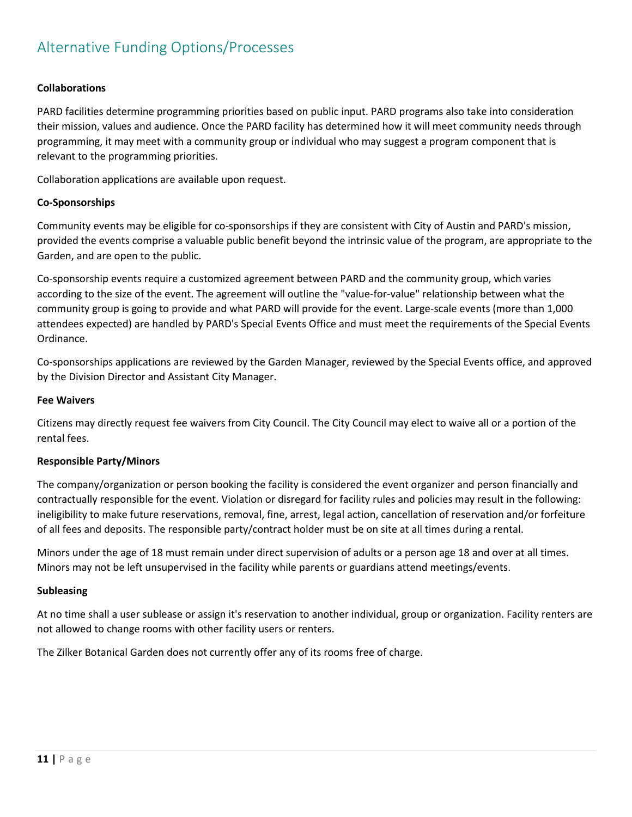# Alternative Funding Options/Processes

#### **Collaborations**

PARD facilities determine programming priorities based on public input. PARD programs also take into consideration their mission, values and audience. Once the PARD facility has determined how it will meet community needs through programming, it may meet with a community group or individual who may suggest a program component that is relevant to the programming priorities.

Collaboration applications are available upon request.

#### **Co-Sponsorships**

Community events may be eligible for co-sponsorships if they are consistent with City of Austin and PARD's mission, provided the events comprise a valuable public benefit beyond the intrinsic value of the program, are appropriate to the Garden, and are open to the public.

Co-sponsorship events require a customized agreement between PARD and the community group, which varies according to the size of the event. The agreement will outline the "value-for-value" relationship between what the community group is going to provide and what PARD will provide for the event. Large-scale events (more than 1,000 attendees expected) are handled by PARD's Special Events Office and must meet the requirements of the Special Events Ordinance.

Co-sponsorships applications are reviewed by the Garden Manager, reviewed by the Special Events office, and approved by the Division Director and Assistant City Manager.

#### **Fee Waivers**

Citizens may directly request fee waivers from City Council. The City Council may elect to waive all or a portion of the rental fees.

#### **Responsible Party/Minors**

The company/organization or person booking the facility is considered the event organizer and person financially and contractually responsible for the event. Violation or disregard for facility rules and policies may result in the following: ineligibility to make future reservations, removal, fine, arrest, legal action, cancellation of reservation and/or forfeiture of all fees and deposits. The responsible party/contract holder must be on site at all times during a rental.

Minors under the age of 18 must remain under direct supervision of adults or a person age 18 and over at all times. Minors may not be left unsupervised in the facility while parents or guardians attend meetings/events.

#### **Subleasing**

At no time shall a user sublease or assign it's reservation to another individual, group or organization. Facility renters are not allowed to change rooms with other facility users or renters.

The Zilker Botanical Garden does not currently offer any of its rooms free of charge.